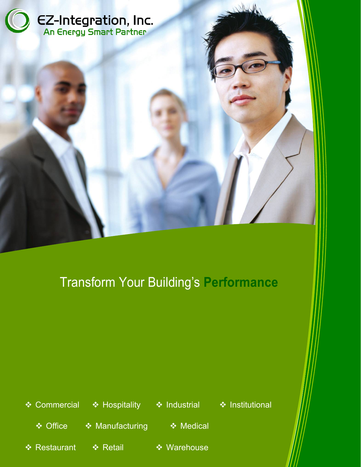

Transform Your Building's **Performance**

❖ Commercial → Hospitality → Industrial

 $\overline{\textbf{I}}$  Institutional

◆ Office → Manufacturing → Medical

Restaurant Retail Warehouse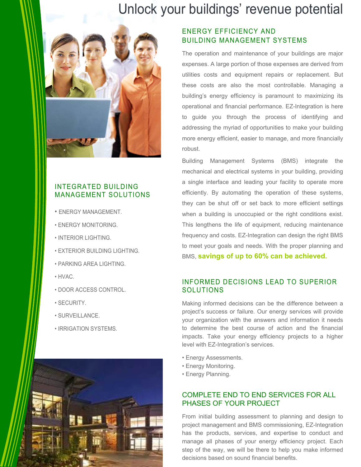# Unlock your buildings' revenue potential



### INTEGRATED BUILDING MANAGEMENT SOLUTIONS

- ENERGY MANAGEMENT.
- ENERGY MONITORING.
- INTERIOR LIGHTING.
- EXTERIOR BUILDING LIGHTING.
- PARKING AREA LIGHTING.
- HVAC.
- DOOR ACCESS CONTROL.
- SECURITY.
- SURVEILLANCE.
- IRRIGATION SYSTEMS.



## ENERGY EFFICIENCY AND BUILDING MANAGEMENT SYSTEMS

The operation and maintenance of your buildings are major expenses. A large portion of those expenses are derived from utilities costs and equipment repairs or replacement. But these costs are also the most controllable. Managing a building's energy efficiency is paramount to maximizing its operational and financial performance. EZ-Integration is here to guide you through the process of identifying and addressing the myriad of opportunities to make your building more energy efficient, easier to manage, and more financially robust.

Building Management Systems (BMS) integrate the mechanical and electrical systems in your building, providing a single interface and leading your facility to operate more efficiently. By automating the operation of these systems, they can be shut off or set back to more efficient settings when a building is unoccupied or the right conditions exist. This lengthens the life of equipment, reducing maintenance frequency and costs. EZ-Integration can design the right BMS to meet your goals and needs. With the proper planning and BMS, **savings of up to 60% can be achieved.**

### INFORMED DECISIONS LEAD TO SUPERIOR SOLUTIONS

Making informed decisions can be the difference between a project's success or failure. Our energy services will provide your organization with the answers and information it needs to determine the best course of action and the financial impacts. Take your energy efficiency projects to a higher level with EZ-Integration's services.

- Energy Assessments.
- Energy Monitoring.
- Energy Planning.

### COMPLETE END TO END SERVICES FOR ALL PHASES OF YOUR PROJECT

From initial building assessment to planning and design to project management and BMS commissioning, EZ-Integration has the products, services, and expertise to conduct and manage all phases of your energy efficiency project. Each step of the way, we will be there to help you make informed decisions based on sound financial benefits.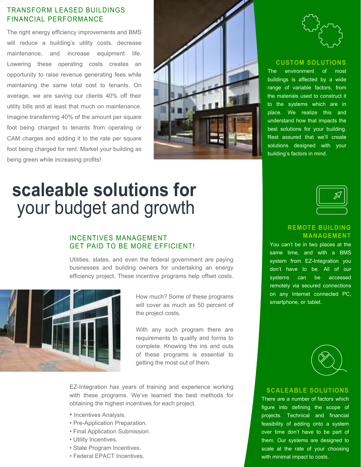### TRANSFORM LEASED BUILDINGS FINANCIAL PERFORMANCE

The right energy efficiency improvements and BMS will reduce a building's utility costs, decrease maintenance, and increase equipment life. Lowering these operating costs creates an opportunity to raise revenue generating fees while maintaining the same total cost to tenants. On average, we are saving our clients 40% off their utility bills and at least that much on maintenance. Imagine transferring 40% of the amount per square foot being charged to tenants from operating or CAM charges and adding it to the rate per square foot being charged for rent. Market your building as being green while increasing profits!





#### **CUSTOM SOLUTIONS**

The environment of most buildings is affected by a wide range of variable factors, from the materials used to construct it to the systems which are in place. We realize this and understand how that impacts the best solutions for your building. Rest assured that we'll create solutions designed with your building's factors in mind.

# **scaleable solutions for** your budget and growth

### INCENTIVES MANAGEMENT GET PAID TO BE MORE EFFICIENT!

Utilities, states, and even the federal government are paying businesses and building owners for undertaking an energy efficiency project. These incentive programs help offset costs.



How much? Some of these programs will cover as much as 50 percent of the project costs.

With any such program there are requirements to qualify and forms to complete. Knowing the ins and outs of these programs is essential to getting the most out of them.

EZ-Integration has years of training and experience working with these programs. We've learned the best methods for obtaining the highest incentives for each project.

- Incentives Analysis.
- Pre-Application Preparation.
- Final Application Submission.
- Utility Incentives.
- State Program Incentives.
- Federal EPACT Incentives.

### **REMOTE BUILDING MANAGEMENT**

You can't be in two places at the same time, and with a BMS system from EZ-Integration you don't have to be. All of our systems can be accessed remotely via secured connections on any Internet connected PC, smartphone, or tablet.



### **SCALEABLE SOLUTIONS**

There are a number of factors which figure into defining the scope of projects. Technical and financial feasibility of adding onto a system over time don't have to be part of them. Our systems are designed to scale at the rate of your choosing with minimal impact to costs.